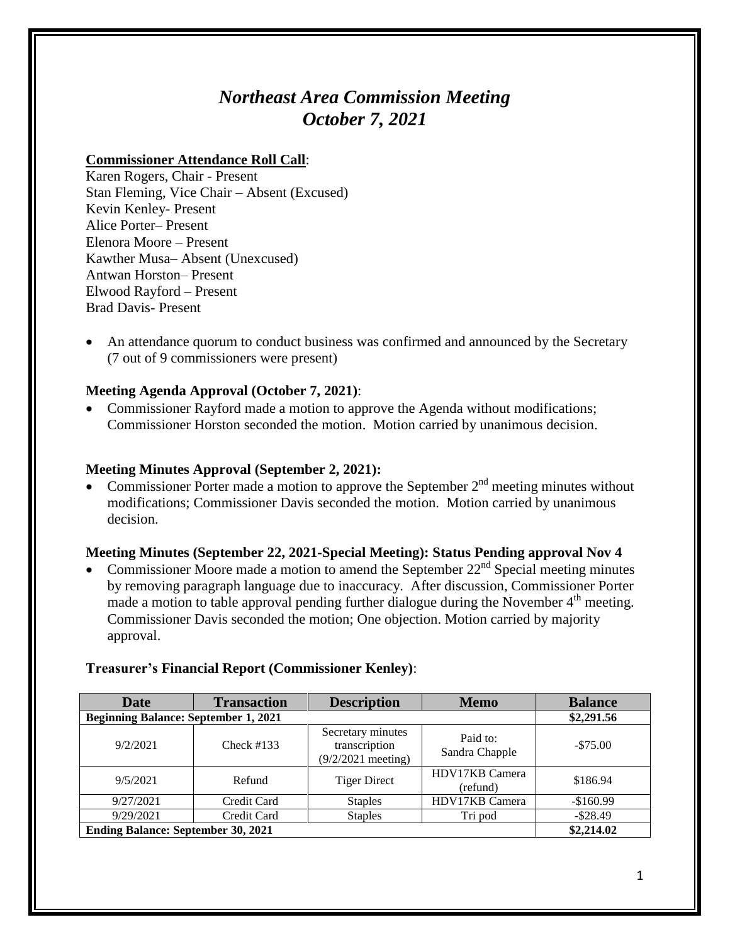# *Northeast Area Commission Meeting October 7, 2021*

#### **Commissioner Attendance Roll Call**:

Karen Rogers, Chair - Present Stan Fleming, Vice Chair – Absent (Excused) Kevin Kenley- Present Alice Porter– Present Elenora Moore – Present Kawther Musa– Absent (Unexcused) Antwan Horston– Present Elwood Rayford – Present Brad Davis- Present

• An attendance quorum to conduct business was confirmed and announced by the Secretary (7 out of 9 commissioners were present)

#### **Meeting Agenda Approval (October 7, 2021)**:

• Commissioner Rayford made a motion to approve the Agenda without modifications; Commissioner Horston seconded the motion. Motion carried by unanimous decision.

#### **Meeting Minutes Approval (September 2, 2021):**

• Commissioner Porter made a motion to approve the September  $2<sup>nd</sup>$  meeting minutes without modifications; Commissioner Davis seconded the motion. Motion carried by unanimous decision.

#### **Meeting Minutes (September 22, 2021-Special Meeting): Status Pending approval Nov 4**

• Commissioner Moore made a motion to amend the September  $22<sup>nd</sup>$  Special meeting minutes by removing paragraph language due to inaccuracy. After discussion, Commissioner Porter made a motion to table approval pending further dialogue during the November  $4<sup>th</sup>$  meeting. Commissioner Davis seconded the motion; One objection. Motion carried by majority approval.

| <b>Date</b>                                 | <b>Transaction</b> | <b>Description</b>                                         | <b>Memo</b>                | <b>Balance</b> |
|---------------------------------------------|--------------------|------------------------------------------------------------|----------------------------|----------------|
| <b>Beginning Balance: September 1, 2021</b> |                    |                                                            |                            | \$2,291.56     |
| 9/2/2021                                    | Check $#133$       | Secretary minutes<br>transcription<br>$(9/2/2021$ meeting) | Paid to:<br>Sandra Chapple | $-\$75.00$     |
| 9/5/2021                                    | Refund             | <b>Tiger Direct</b>                                        | HDV17KB Camera<br>(refund) | \$186.94       |
| 9/27/2021                                   | Credit Card        | <b>Staples</b>                                             | HDV17KB Camera             | $-$160.99$     |
| 9/29/2021                                   | Credit Card        | <b>Staples</b>                                             | Tri pod                    | $-$ \$28.49    |
| <b>Ending Balance: September 30, 2021</b>   |                    |                                                            |                            | \$2,214.02     |

#### **Treasurer's Financial Report (Commissioner Kenley)**: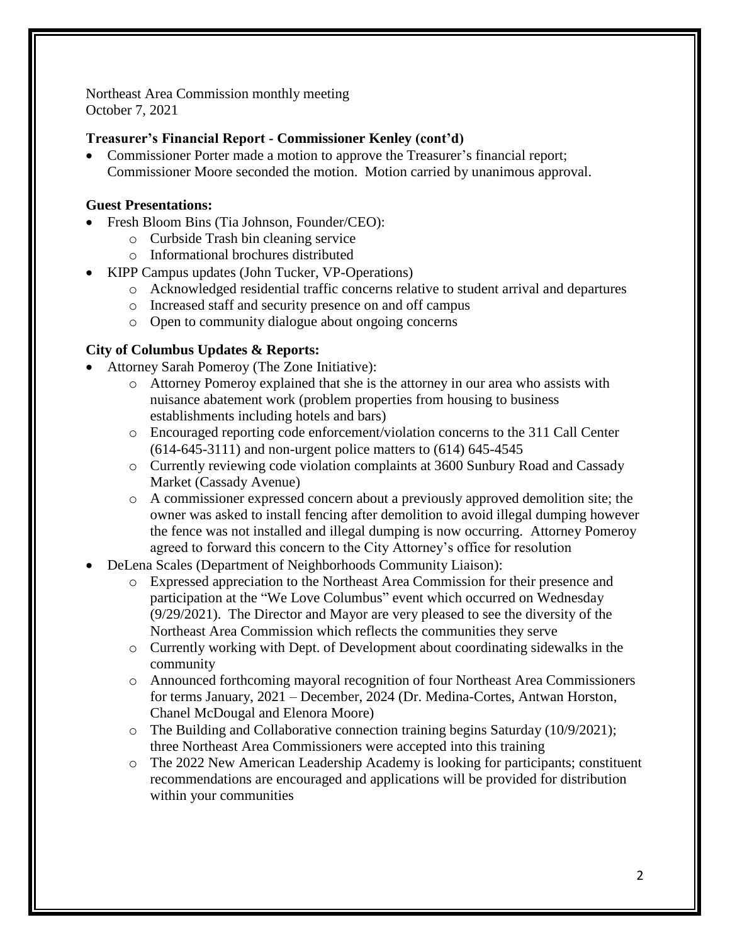Northeast Area Commission monthly meeting October 7, 2021

# **Treasurer's Financial Report - Commissioner Kenley (cont'd)**

 Commissioner Porter made a motion to approve the Treasurer's financial report; Commissioner Moore seconded the motion. Motion carried by unanimous approval.

# **Guest Presentations:**

- Fresh Bloom Bins (Tia Johnson, Founder/CEO):
	- o Curbside Trash bin cleaning service
	- o Informational brochures distributed
	- KIPP Campus updates (John Tucker, VP-Operations)
		- o Acknowledged residential traffic concerns relative to student arrival and departures
		- o Increased staff and security presence on and off campus
		- o Open to community dialogue about ongoing concerns

# **City of Columbus Updates & Reports:**

- Attorney Sarah Pomeroy (The Zone Initiative):
	- o Attorney Pomeroy explained that she is the attorney in our area who assists with nuisance abatement work (problem properties from housing to business establishments including hotels and bars)
	- o Encouraged reporting code enforcement/violation concerns to the 311 Call Center (614-645-3111) and non-urgent police matters to (614) 645-4545
	- o Currently reviewing code violation complaints at 3600 Sunbury Road and Cassady Market (Cassady Avenue)
	- o A commissioner expressed concern about a previously approved demolition site; the owner was asked to install fencing after demolition to avoid illegal dumping however the fence was not installed and illegal dumping is now occurring. Attorney Pomeroy agreed to forward this concern to the City Attorney's office for resolution
- DeLena Scales (Department of Neighborhoods Community Liaison):
	- o Expressed appreciation to the Northeast Area Commission for their presence and participation at the "We Love Columbus" event which occurred on Wednesday (9/29/2021). The Director and Mayor are very pleased to see the diversity of the Northeast Area Commission which reflects the communities they serve
	- o Currently working with Dept. of Development about coordinating sidewalks in the community
	- o Announced forthcoming mayoral recognition of four Northeast Area Commissioners for terms January, 2021 – December, 2024 (Dr. Medina-Cortes, Antwan Horston, Chanel McDougal and Elenora Moore)
	- o The Building and Collaborative connection training begins Saturday (10/9/2021); three Northeast Area Commissioners were accepted into this training
	- o The 2022 New American Leadership Academy is looking for participants; constituent recommendations are encouraged and applications will be provided for distribution within your communities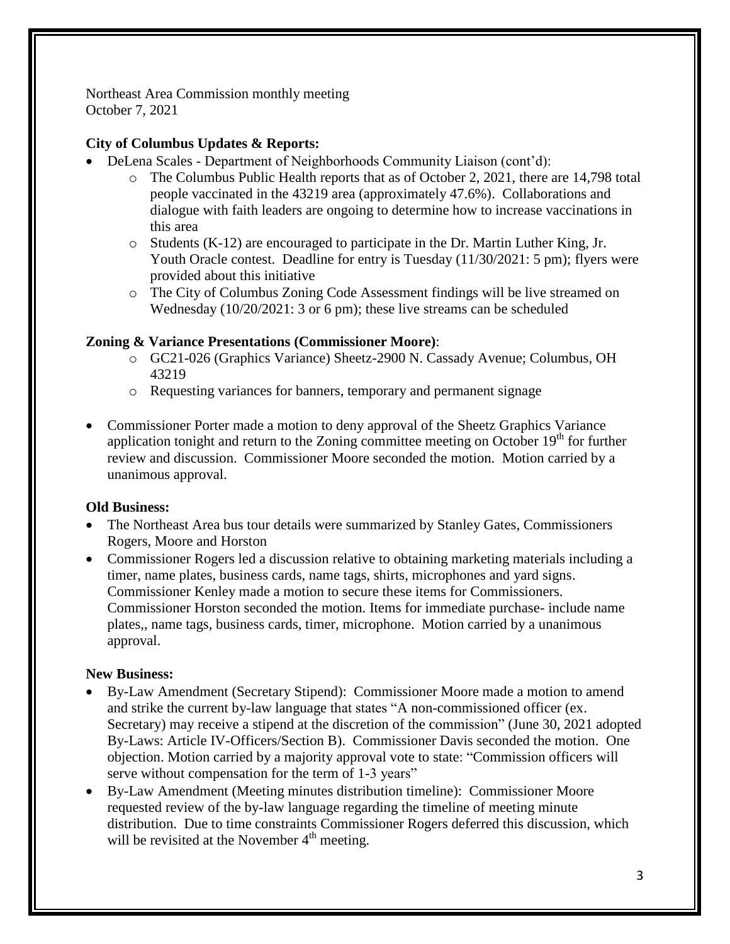Northeast Area Commission monthly meeting October 7, 2021

## **City of Columbus Updates & Reports:**

- DeLena Scales Department of Neighborhoods Community Liaison (cont'd):
	- o The Columbus Public Health reports that as of October 2, 2021, there are 14,798 total people vaccinated in the 43219 area (approximately 47.6%). Collaborations and dialogue with faith leaders are ongoing to determine how to increase vaccinations in this area
	- $\circ$  Students (K-12) are encouraged to participate in the Dr. Martin Luther King, Jr. Youth Oracle contest. Deadline for entry is Tuesday (11/30/2021: 5 pm); flyers were provided about this initiative
	- o The City of Columbus Zoning Code Assessment findings will be live streamed on Wednesday (10/20/2021: 3 or 6 pm); these live streams can be scheduled

### **Zoning & Variance Presentations (Commissioner Moore)**:

- o GC21-026 (Graphics Variance) Sheetz-2900 N. Cassady Avenue; Columbus, OH 43219
- o Requesting variances for banners, temporary and permanent signage
- Commissioner Porter made a motion to deny approval of the Sheetz Graphics Variance application tonight and return to the Zoning committee meeting on October  $19<sup>th</sup>$  for further review and discussion. Commissioner Moore seconded the motion. Motion carried by a unanimous approval.

### **Old Business:**

- The Northeast Area bus tour details were summarized by Stanley Gates, Commissioners Rogers, Moore and Horston
- Commissioner Rogers led a discussion relative to obtaining marketing materials including a timer, name plates, business cards, name tags, shirts, microphones and yard signs. Commissioner Kenley made a motion to secure these items for Commissioners. Commissioner Horston seconded the motion. Items for immediate purchase- include name plates,, name tags, business cards, timer, microphone. Motion carried by a unanimous approval.

### **New Business:**

- By-Law Amendment (Secretary Stipend): Commissioner Moore made a motion to amend and strike the current by-law language that states "A non-commissioned officer (ex. Secretary) may receive a stipend at the discretion of the commission" (June 30, 2021 adopted By-Laws: Article IV-Officers/Section B). Commissioner Davis seconded the motion. One objection. Motion carried by a majority approval vote to state: "Commission officers will serve without compensation for the term of 1-3 years"
- By-Law Amendment (Meeting minutes distribution timeline): Commissioner Moore requested review of the by-law language regarding the timeline of meeting minute distribution. Due to time constraints Commissioner Rogers deferred this discussion, which will be revisited at the November  $4<sup>th</sup>$  meeting.